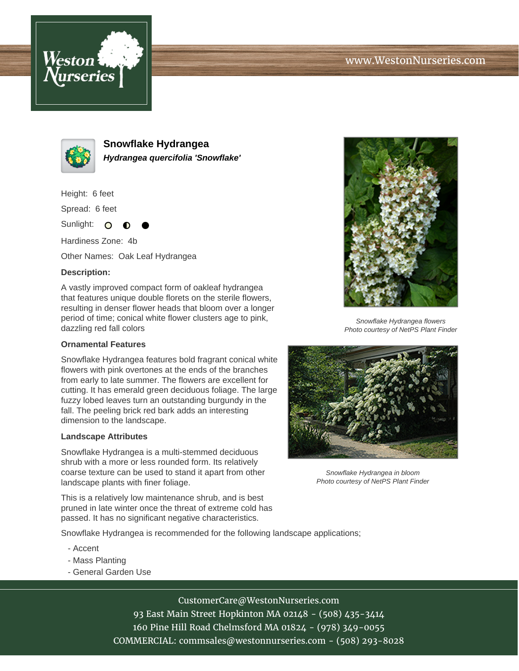



**Snowflake Hydrangea Hydrangea quercifolia 'Snowflake'**

Height: 6 feet

Spread: 6 feet

Sunlight: O

Hardiness Zone: 4b

Other Names: Oak Leaf Hydrangea

## **Description:**

A vastly improved compact form of oakleaf hydrangea that features unique double florets on the sterile flowers, resulting in denser flower heads that bloom over a longer period of time; conical white flower clusters age to pink, dazzling red fall colors

## **Ornamental Features**

Snowflake Hydrangea features bold fragrant conical white flowers with pink overtones at the ends of the branches from early to late summer. The flowers are excellent for cutting. It has emerald green deciduous foliage. The large fuzzy lobed leaves turn an outstanding burgundy in the fall. The peeling brick red bark adds an interesting dimension to the landscape.

## **Landscape Attributes**

Snowflake Hydrangea is a multi-stemmed deciduous shrub with a more or less rounded form. Its relatively coarse texture can be used to stand it apart from other landscape plants with finer foliage.

This is a relatively low maintenance shrub, and is best pruned in late winter once the threat of extreme cold has passed. It has no significant negative characteristics.



Snowflake Hydrangea flowers Photo courtesy of NetPS Plant Finder



Snowflake Hydrangea in bloom Photo courtesy of NetPS Plant Finder

Snowflake Hydrangea is recommended for the following landscape applications;

- Accent
- Mass Planting
- General Garden Use

CustomerCare@WestonNurseries.com 93 East Main Street Hopkinton MA 02148 - (508) 435-3414 160 Pine Hill Road Chelmsford MA 01824 - (978) 349-0055

COMMERCIAL: commsales@westonnurseries.com - (508) 293-8028